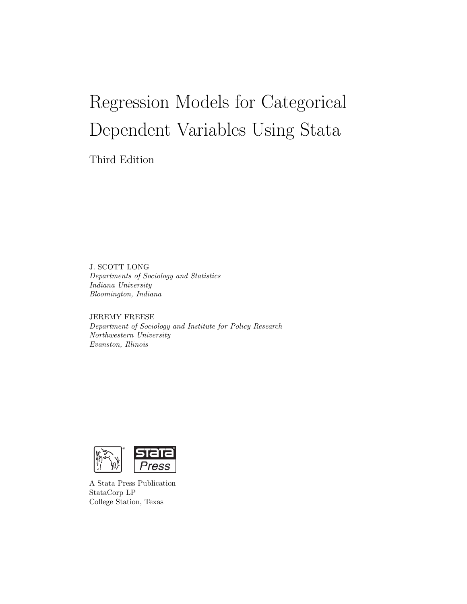# Regression Models for Categorical Dependent Variables Using Stata

Third Edition

J. SCOTT LONG Departments of Sociology and Statistics Indiana University Bloomington, Indiana

JEREMY FREESE Department of Sociology and Institute for Policy Research Northwestern University Evanston, Illinois



A Stata Press Publication StataCorp LP College Station, Texas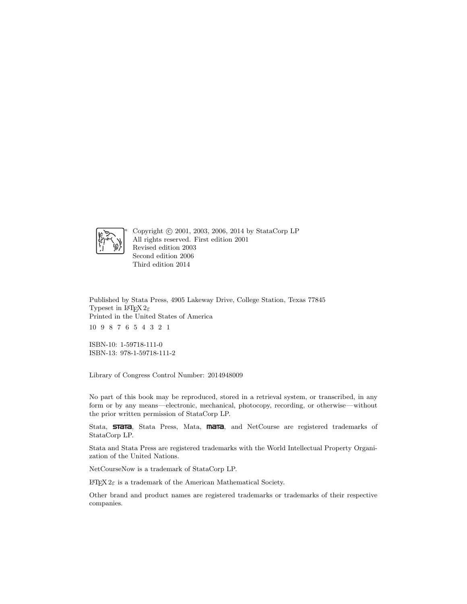

Copyright © 2001, 2003, 2006, 2014 by StataCorp LP All rights reserved. First edition 2001 Revised edition 2003 Second edition 2006 Third edition 2014

Published by Stata Press, 4905 Lakeway Drive, College Station, Texas 77845 Typeset in  $\mathbb{P}\mathbb{F} X 2_\varepsilon$ Printed in the United States of America 10 9 8 7 6 5 4 3 2 1

ISBN-10: 1-59718-111-0 ISBN-13: 978-1-59718-111-2

Library of Congress Control Number: 2014948009

No part of this book may be reproduced, stored in a retrieval system, or transcribed, in any form or by any means—electronic, mechanical, photocopy, recording, or otherwise—without the prior written permission of StataCorp LP.

Stata, **STata**, Stata Press, Mata, **mata**, and NetCourse are registered trademarks of StataCorp LP.

Stata and Stata Press are registered trademarks with the World Intellectual Property Organization of the United Nations.

NetCourseNow is a trademark of StataCorp LP.

 $\operatorname{LATEX2}_{\varepsilon}$  is a trademark of the American Mathematical Society.

Other brand and product names are registered trademarks or trademarks of their respective companies.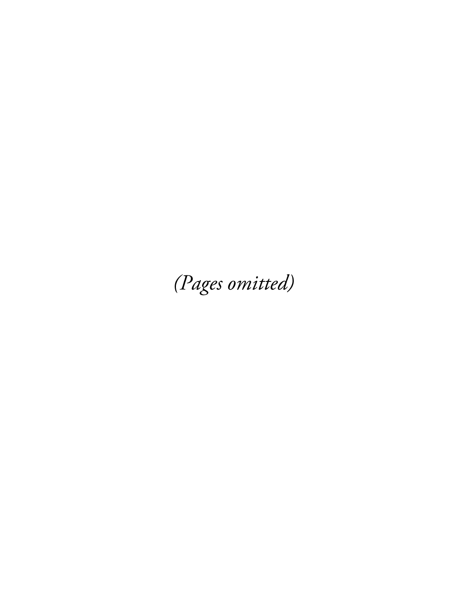(Pages omitted)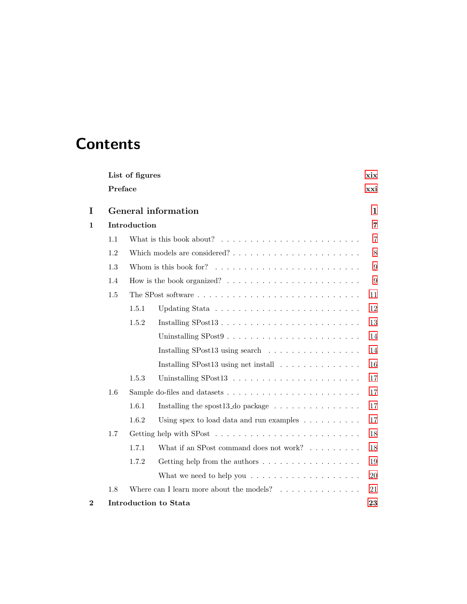# **Contents**

|          | List of figures<br>xix |                                                                                                      |  |                |  |  |  |
|----------|------------------------|------------------------------------------------------------------------------------------------------|--|----------------|--|--|--|
|          |                        | Preface<br>xxi                                                                                       |  |                |  |  |  |
| I        |                        | General information                                                                                  |  | $\mathbf{1}$   |  |  |  |
| 1        |                        | Introduction                                                                                         |  | $\overline{7}$ |  |  |  |
|          | 1.1                    | What is this book about? $\ldots \ldots \ldots \ldots \ldots \ldots \ldots \ldots$<br>$\overline{7}$ |  |                |  |  |  |
|          | 1.2                    | Which models are considered?                                                                         |  | $8\,$          |  |  |  |
|          | 1.3                    |                                                                                                      |  | 9              |  |  |  |
|          | 1.4                    | How is the book organized? $\ldots \ldots \ldots \ldots \ldots \ldots \ldots$<br>9                   |  |                |  |  |  |
|          | 1.5                    | 11                                                                                                   |  |                |  |  |  |
|          |                        | 1.5.1                                                                                                |  | 12             |  |  |  |
|          |                        | 1.5.2                                                                                                |  | 13             |  |  |  |
|          |                        |                                                                                                      |  | 14             |  |  |  |
|          |                        | Installing SPost13 using search $\ldots \ldots \ldots \ldots \ldots$                                 |  | 14             |  |  |  |
|          |                        | Installing SPost13 using net install $\ldots \ldots \ldots \ldots$                                   |  | 16             |  |  |  |
|          |                        | 1.5.3                                                                                                |  | 17             |  |  |  |
|          | 1.6                    |                                                                                                      |  | 17             |  |  |  |
|          |                        | 1.6.1                                                                                                |  | 17             |  |  |  |
|          |                        | 1.6.2<br>Using spex to load data and run examples $\ldots \ldots \ldots$                             |  | 17             |  |  |  |
|          | 1.7                    |                                                                                                      |  | 18             |  |  |  |
|          |                        | 1.7.1<br>What if an SPost command does not work? $\ldots \ldots \ldots$                              |  | 18             |  |  |  |
|          |                        | 1.7.2<br>Getting help from the authors $\dots \dots \dots \dots \dots \dots$                         |  | 19             |  |  |  |
|          |                        | What we need to help you $\ldots \ldots \ldots \ldots \ldots \ldots$                                 |  | <b>20</b>      |  |  |  |
|          | 1.8                    | Where can I learn more about the models? $\ldots \ldots \ldots \ldots$                               |  | 21             |  |  |  |
| $\bf{2}$ |                        | Introduction to Stata                                                                                |  | 23             |  |  |  |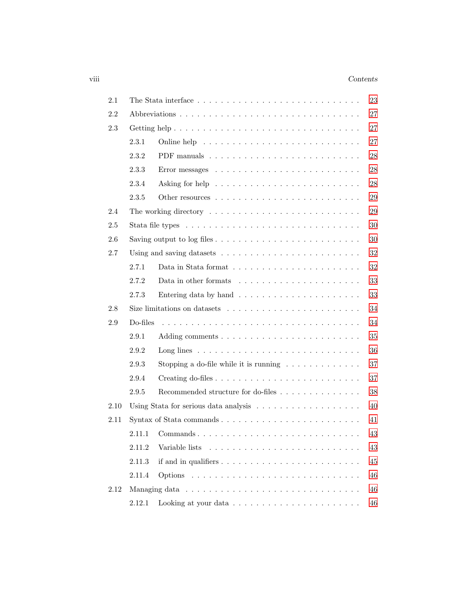## viii *Contents*

| 2.1  |          | The Stata interface $\dots \dots \dots \dots \dots \dots \dots \dots \dots \dots \dots \dots$   | 23 |
|------|----------|-------------------------------------------------------------------------------------------------|----|
| 2.2  |          |                                                                                                 | 27 |
| 2.3  |          |                                                                                                 | 27 |
|      | 2.3.1    |                                                                                                 | 27 |
|      | 2.3.2    |                                                                                                 | 28 |
|      | 2.3.3    |                                                                                                 | 28 |
|      | 2.3.4    | Asking for help $\ldots \ldots \ldots \ldots \ldots \ldots \ldots \ldots$                       | 28 |
|      | 2.3.5    | Other resources $\ldots \ldots \ldots \ldots \ldots \ldots \ldots \ldots$                       | 29 |
| 2.4  |          |                                                                                                 | 29 |
| 2.5  |          | Stata file types $\ldots \ldots \ldots \ldots \ldots \ldots \ldots \ldots \ldots \ldots \ldots$ | 30 |
| 2.6  |          |                                                                                                 | 30 |
| 2.7  |          | Using and saving datasets $\dots \dots \dots \dots \dots \dots \dots \dots \dots$               | 32 |
|      | 2.7.1    |                                                                                                 | 32 |
|      | 2.7.2    |                                                                                                 | 33 |
|      | 2.7.3    | Entering data by hand $\ldots \ldots \ldots \ldots \ldots \ldots \ldots$                        | 33 |
| 2.8  |          | Size limitations on datasets $\dots \dots \dots \dots \dots \dots \dots \dots$                  | 34 |
| 2.9  | Do-files |                                                                                                 | 34 |
|      | 2.9.1    |                                                                                                 | 35 |
|      | 2.9.2    |                                                                                                 | 36 |
|      | 2.9.3    | Stopping a do-file while it is running $\ldots \ldots \ldots \ldots$                            | 37 |
|      | 2.9.4    |                                                                                                 | 37 |
|      | 2.9.5    | Recommended structure for do-files                                                              | 38 |
| 2.10 |          |                                                                                                 | 40 |
| 2.11 |          |                                                                                                 | 41 |
|      | 2.11.1   |                                                                                                 | 43 |
|      | 2.11.2   |                                                                                                 | 43 |
|      | 2.11.3   |                                                                                                 | 45 |
|      | 2.11.4   |                                                                                                 | 46 |
| 2.12 |          |                                                                                                 | 46 |
|      | 2.12.1   | Looking at your data $\ldots \ldots \ldots \ldots \ldots \ldots \ldots \ldots$                  | 46 |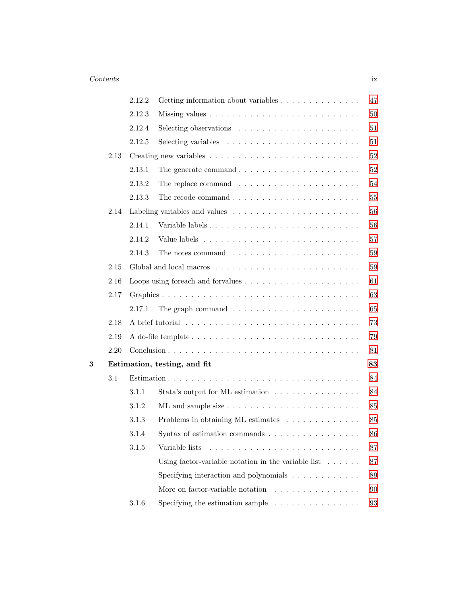|   |      | 2.12.2 | Getting information about variables                                       | 47     |
|---|------|--------|---------------------------------------------------------------------------|--------|
|   |      | 2.12.3 |                                                                           | $50\,$ |
|   |      | 2.12.4 | Selecting observations $\ldots \ldots \ldots \ldots \ldots \ldots \ldots$ | $51\,$ |
|   |      | 2.12.5 | Selecting variables $\ldots \ldots \ldots \ldots \ldots \ldots \ldots$    | $51\,$ |
|   | 2.13 |        |                                                                           | $52\,$ |
|   |      | 2.13.1 | The generate command $\ldots \ldots \ldots \ldots \ldots \ldots \ldots$   | $52\,$ |
|   |      | 2.13.2 | The replace command $\ldots \ldots \ldots \ldots \ldots \ldots \ldots$    | 54     |
|   |      | 2.13.3 | The recode command $\ldots \ldots \ldots \ldots \ldots \ldots \ldots$     | $55\,$ |
|   | 2.14 |        |                                                                           | 56     |
|   |      | 2.14.1 | Variable labels                                                           | 56     |
|   |      | 2.14.2 |                                                                           | 57     |
|   |      | 2.14.3 | The notes command $\ldots \ldots \ldots \ldots \ldots \ldots \ldots$      | $59\,$ |
|   | 2.15 |        |                                                                           | $59\,$ |
|   | 2.16 |        |                                                                           | 61     |
|   | 2.17 |        |                                                                           | 63     |
|   |      | 2.17.1 | The graph command $\ldots \ldots \ldots \ldots \ldots \ldots \ldots$      | 65     |
|   | 2.18 |        |                                                                           | 73     |
|   | 2.19 |        |                                                                           | 79     |
|   | 2.20 |        |                                                                           | 81     |
| 3 |      |        | Estimation, testing, and fit                                              | 83     |
|   | 3.1  |        |                                                                           | 84     |
|   |      | 3.1.1  | Stata's output for ML estimation                                          | 84     |
|   |      | 3.1.2  |                                                                           | 85     |
|   |      | 3.1.3  | Problems in obtaining ML estimates                                        | 85     |
|   |      | 3.1.4  | Syntax of estimation commands $\ldots \ldots \ldots \ldots \ldots$        | 86     |
|   |      | 3.1.5  | Variable lists                                                            | 87     |
|   |      |        | Using factor-variable notation in the variable list $\ldots \ldots$       | 87     |
|   |      |        | Specifying interaction and polynomials $\ldots \ldots \ldots \ldots$      | 89     |
|   |      |        | More on factor-variable notation $\ldots \ldots \ldots \ldots \ldots$     | 90     |
|   |      | 3.1.6  | Specifying the estimation sample $\ldots \ldots \ldots \ldots \ldots$     | 93     |
|   |      |        |                                                                           |        |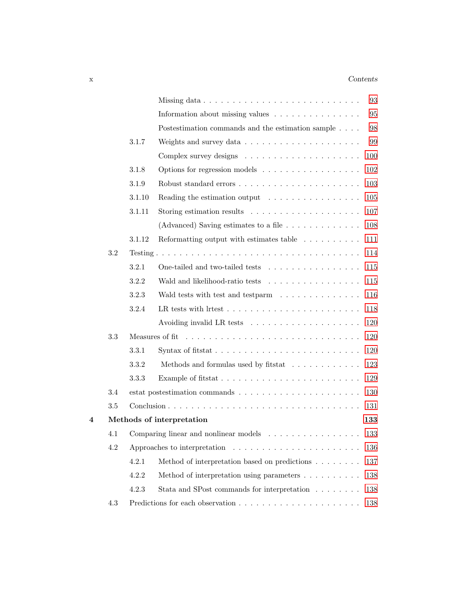## x *Contents*

|   |     |        |                                                                                    | 93  |
|---|-----|--------|------------------------------------------------------------------------------------|-----|
|   |     |        | Information about missing values $\ldots \ldots \ldots \ldots \ldots$              | 95  |
|   |     |        | Postestimation commands and the estimation sample                                  | 98  |
|   |     | 3.1.7  | Weights and survey data $\ldots \ldots \ldots \ldots \ldots \ldots$                | 99  |
|   |     |        |                                                                                    | 100 |
|   |     | 3.1.8  | Options for regression models                                                      | 102 |
|   |     | 3.1.9  |                                                                                    | 103 |
|   |     | 3.1.10 | Reading the estimation output $\dots \dots \dots \dots \dots$                      | 105 |
|   |     | 3.1.11 | Storing estimation results $\dots \dots \dots \dots \dots \dots \dots$             | 107 |
|   |     |        | (Advanced) Saving estimates to a file $\ldots \ldots \ldots \ldots$                | 108 |
|   |     | 3.1.12 | Reformatting output with estimates table $\ldots \ldots \ldots$                    | 111 |
|   | 3.2 |        |                                                                                    | 114 |
|   |     | 3.2.1  | One-tailed and two-tailed tests                                                    | 115 |
|   |     | 3.2.2  | Wald and likelihood-ratio tests                                                    | 115 |
|   |     | 3.2.3  | Wald tests with test and testparm                                                  | 116 |
|   |     | 3.2.4  | LR tests with litest $\ldots \ldots \ldots \ldots \ldots \ldots \ldots \ldots$     | 118 |
|   |     |        | Avoiding invalid LR tests $\dots \dots \dots \dots \dots \dots \dots$              | 120 |
|   | 3.3 |        |                                                                                    | 120 |
|   |     | 3.3.1  | Syntax of fitstat $\ldots \ldots \ldots \ldots \ldots \ldots \ldots \ldots \ldots$ | 120 |
|   |     | 3.3.2  | Methods and formulas used by fitstat $\ldots \ldots \ldots \ldots$                 | 123 |
|   |     | 3.3.3  |                                                                                    | 129 |
|   | 3.4 |        |                                                                                    | 130 |
|   | 3.5 |        |                                                                                    | 131 |
| 4 |     |        | Methods of interpretation                                                          | 133 |
|   | 4.1 |        | Comparing linear and nonlinear models                                              | 133 |
|   | 4.2 |        | Approaches to interpretation $\dots \dots \dots \dots \dots \dots \dots \dots$     | 136 |
|   |     | 4.2.1  | Method of interpretation based on predictions $\ldots \ldots$                      | 137 |
|   |     | 4.2.2  | Method of interpretation using parameters                                          | 138 |
|   |     | 4.2.3  | Stata and SPost commands for interpretation                                        | 138 |
|   | 4.3 |        |                                                                                    | 138 |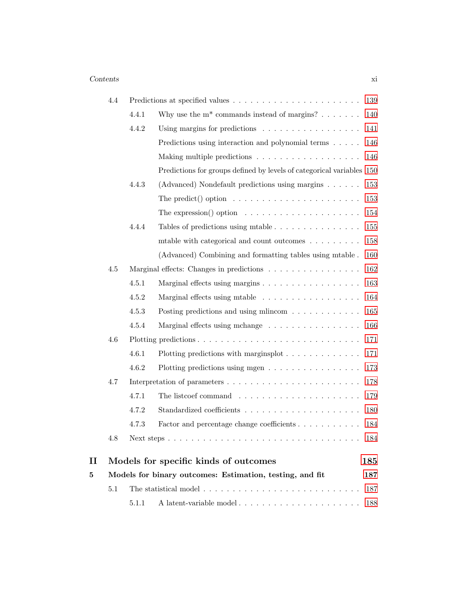|   | 4.4 |       |                                                                         | 139 |
|---|-----|-------|-------------------------------------------------------------------------|-----|
|   |     | 4.4.1 | Why use the $m^*$ commands instead of margins?                          | 140 |
|   |     | 4.4.2 | Using margins for predictions                                           | 141 |
|   |     |       | Predictions using interaction and polynomial terms $\ldots$ .           | 146 |
|   |     |       |                                                                         | 146 |
|   |     |       | Predictions for groups defined by levels of categorical variables 150   |     |
|   |     | 4.4.3 | (Advanced) Nondefault predictions using margins                         | 153 |
|   |     |       | The predict() option $\ldots \ldots \ldots \ldots \ldots \ldots \ldots$ | 153 |
|   |     |       | The expression() option $\dots \dots \dots \dots \dots \dots \dots$     | 154 |
|   |     | 4.4.4 | Tables of predictions using mtable $\ldots \ldots \ldots \ldots \ldots$ | 155 |
|   |     |       | mtable with categorical and count outcomes $\dots \dots$                | 158 |
|   |     |       | (Advanced) Combining and formatting tables using mtable.                | 160 |
|   | 4.5 |       | Marginal effects: Changes in predictions                                | 162 |
|   |     | 4.5.1 | Marginal effects using margins                                          | 163 |
|   |     | 4.5.2 | Marginal effects using mtable                                           | 164 |
|   |     | 4.5.3 | Posting predictions and using mlincom $\dots \dots \dots \dots$         | 165 |
|   |     | 4.5.4 | Marginal effects using mchange                                          | 166 |
|   | 4.6 |       |                                                                         | 171 |
|   |     | 4.6.1 | Plotting predictions with marginsplot $\ldots \ldots \ldots \ldots$     | 171 |
|   |     | 4.6.2 | Plotting predictions using mgen $\dots \dots \dots \dots \dots \dots$   | 173 |
|   | 4.7 |       |                                                                         | 178 |
|   |     | 4.7.1 |                                                                         | 179 |
|   |     | 4.7.2 |                                                                         | 180 |
|   |     | 4.7.3 | Factor and percentage change coefficients                               | 184 |
|   | 4.8 |       |                                                                         | 184 |
| П |     |       | Models for specific kinds of outcomes                                   | 185 |
| 5 |     |       | Models for binary outcomes: Estimation, testing, and fit                | 187 |
|   | 5.1 |       |                                                                         | 187 |
|   |     | 5.1.1 | A latent-variable model                                                 | 188 |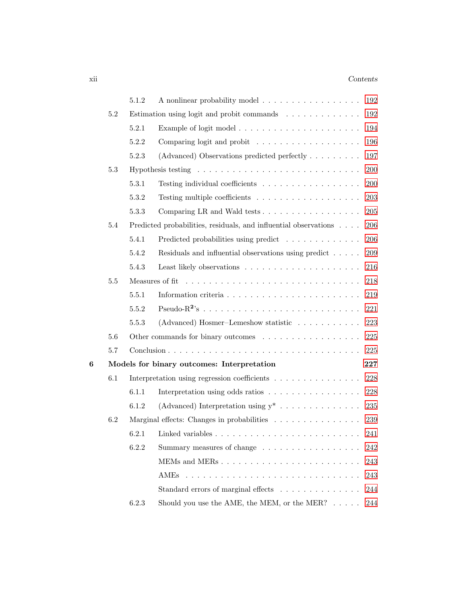|   |         | 5.1.2 | A nonlinear probability model<br>192                                        |
|---|---------|-------|-----------------------------------------------------------------------------|
|   | 5.2     |       | 192<br>Estimation using logit and probit commands                           |
|   |         | 5.2.1 | 194                                                                         |
|   |         | 5.2.2 | 196<br>Comparing logit and probit $\ldots \ldots \ldots \ldots \ldots$      |
|   |         | 5.2.3 | (Advanced) Observations predicted perfectly $\dots \dots$<br>197            |
|   | 5.3     |       | 200                                                                         |
|   |         | 5.3.1 | 200<br>Testing individual coefficients $\ldots \ldots \ldots \ldots \ldots$ |
|   |         | 5.3.2 | 203                                                                         |
|   |         | 5.3.3 | Comparing LR and Wald tests<br>205                                          |
|   | 5.4     |       | Predicted probabilities, residuals, and influential observations<br>206     |
|   |         | 5.4.1 | Predicted probabilities using predict<br>206                                |
|   |         | 5.4.2 | Residuals and influential observations using predict<br>209                 |
|   |         | 5.4.3 | 216                                                                         |
|   | $5.5\,$ |       | Measures of fit<br>218                                                      |
|   |         | 5.5.1 | 219                                                                         |
|   |         | 5.5.2 | 221                                                                         |
|   |         | 5.5.3 | (Advanced) Hosmer-Lemeshow statistic<br>223                                 |
|   | 5.6     |       | Other commands for binary outcomes<br>$225\,$                               |
|   | $5.7\,$ |       | 225                                                                         |
| 6 |         |       | Models for binary outcomes: Interpretation<br>227                           |
|   | 6.1     |       | 228<br>Interpretation using regression coefficients                         |
|   |         | 6.1.1 | 228<br>Interpretation using odds ratios                                     |
|   |         | 6.1.2 | (Advanced) Interpretation using $y^*$<br>235                                |
|   | 6.2     |       | Marginal effects: Changes in probabilities<br>239                           |
|   |         | 6.2.1 | 241                                                                         |
|   |         | 6.2.2 | Summary measures of change<br>242                                           |
|   |         |       | 243                                                                         |
|   |         |       | 243                                                                         |
|   |         |       | Standard errors of marginal effects<br>244                                  |
|   |         | 6.2.3 | Should you use the AME, the MEM, or the MER? $\dots$ .<br>244               |
|   |         |       |                                                                             |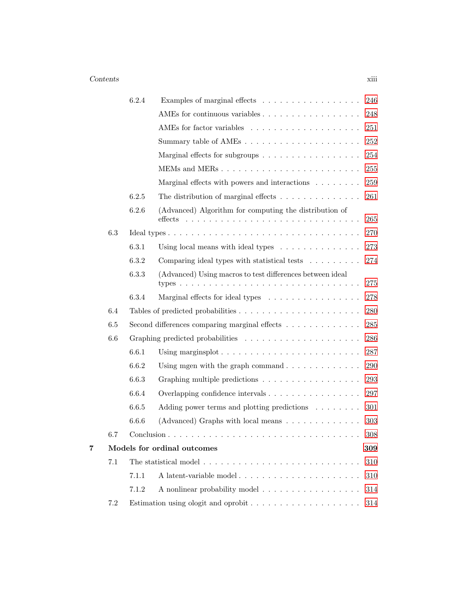## *Contents* xiii

|   |         | 6.2.4 | Examples of marginal effects $\ldots \ldots \ldots \ldots \ldots$                      | 246     |
|---|---------|-------|----------------------------------------------------------------------------------------|---------|
|   |         |       | AMEs for continuous variables                                                          | 248     |
|   |         |       |                                                                                        | 251     |
|   |         |       |                                                                                        | 252     |
|   |         |       | Marginal effects for subgroups                                                         | 254     |
|   |         |       |                                                                                        | 255     |
|   |         |       | Marginal effects with powers and interactions $\ldots \ldots$                          | 259     |
|   |         | 6.2.5 | The distribution of marginal effects $\ldots \ldots \ldots \ldots$                     | 261     |
|   |         | 6.2.6 | (Advanced) Algorithm for computing the distribution of<br>$_{\rm{effects}}$            | 265     |
|   | 6.3     |       |                                                                                        | 270     |
|   |         | 6.3.1 | Using local means with ideal types $\ldots \ldots \ldots \ldots$                       | 273     |
|   |         | 6.3.2 | Comparing ideal types with statistical tests                                           | 274     |
|   |         | 6.3.3 | (Advanced) Using macros to test differences between ideal<br>types $\ldots$<br>.       | 275     |
|   |         | 6.3.4 | Marginal effects for ideal types                                                       | 278     |
|   | 6.4     |       |                                                                                        | 280     |
|   | $6.5\,$ |       | Second differences comparing marginal effects                                          | 285     |
|   | 6.6     |       |                                                                                        | 286     |
|   |         | 6.6.1 | Using marginsplot $\ldots \ldots \ldots \ldots \ldots \ldots \ldots \ldots$            | 287     |
|   |         | 6.6.2 | Using mgen with the graph command $\ldots \ldots \ldots \ldots$                        | 290     |
|   |         | 6.6.3 | Graphing multiple predictions                                                          | 293     |
|   |         | 6.6.4 | Overlapping confidence intervals                                                       | 297     |
|   |         | 6.6.5 | Adding power terms and plotting predictions $\ldots \ldots$                            | 301     |
|   |         | 6.6.6 | (Advanced) Graphs with local means $\dots \dots \dots \dots$                           | 303     |
|   | 6.7     |       |                                                                                        | $308\,$ |
| 7 |         |       | Models for ordinal outcomes                                                            | 309     |
|   | 7.1     |       | The statistical model $\dots \dots \dots \dots \dots \dots \dots \dots$                | 310     |
|   |         | 7.1.1 | A latent-variable model                                                                | 310     |
|   |         | 7.1.2 | A nonlinear probability model                                                          | 314     |
|   | $7.2\,$ |       | Estimation using ologit and oprobit $\ldots \ldots \ldots \ldots \ldots \ldots \ldots$ | $314\,$ |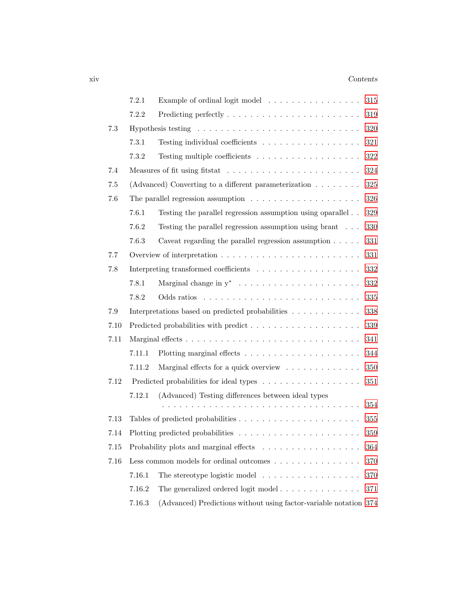## xiv *Contents*

|      | 7.2.1<br>Example of ordinal logit model<br>$315\,$ |                                                                                |         |  |  |  |
|------|----------------------------------------------------|--------------------------------------------------------------------------------|---------|--|--|--|
|      | 7.2.2                                              | $319\,$                                                                        |         |  |  |  |
| 7.3  |                                                    |                                                                                | $320\,$ |  |  |  |
|      | 7.3.1                                              | Testing individual coefficients                                                | $321\,$ |  |  |  |
|      | 7.3.2                                              |                                                                                | $322\,$ |  |  |  |
| 7.4  |                                                    |                                                                                | 324     |  |  |  |
| 7.5  |                                                    | (Advanced) Converting to a different parameterization $\dots \dots$            | $325\,$ |  |  |  |
| 7.6  |                                                    | The parallel regression assumption $\ldots \ldots \ldots \ldots \ldots \ldots$ | 326     |  |  |  |
|      | 7.6.1                                              | Testing the parallel regression assumption using oparallel                     | 329     |  |  |  |
|      | 7.6.2                                              | Testing the parallel regression assumption using brant                         | 330     |  |  |  |
|      | 7.6.3                                              | Caveat regarding the parallel regression assumption $\ldots$ .                 | 331     |  |  |  |
| 7.7  |                                                    |                                                                                | 331     |  |  |  |
| 7.8  |                                                    |                                                                                | 332     |  |  |  |
|      | 7.8.1                                              |                                                                                | $332\,$ |  |  |  |
|      | 7.8.2                                              |                                                                                | 335     |  |  |  |
| 7.9  |                                                    | Interpretations based on predicted probabilities                               | 338     |  |  |  |
| 7.10 |                                                    | Predicted probabilities with predict                                           | 339     |  |  |  |
| 7.11 |                                                    |                                                                                | 341     |  |  |  |
|      | 7.11.1                                             |                                                                                | 344     |  |  |  |
|      | 7.11.2                                             | Marginal effects for a quick overview                                          | 350     |  |  |  |
| 7.12 |                                                    | Predicted probabilities for ideal types                                        | 351     |  |  |  |
|      | 7.12.1                                             | (Advanced) Testing differences between ideal types                             |         |  |  |  |
|      |                                                    |                                                                                | 354     |  |  |  |
| 7.13 |                                                    |                                                                                | 355     |  |  |  |
| 7.14 |                                                    |                                                                                | $359\,$ |  |  |  |
| 7.15 |                                                    | Probability plots and marginal effects                                         | 364     |  |  |  |
| 7.16 |                                                    | Less common models for ordinal outcomes                                        | 370     |  |  |  |
|      | 7.16.1                                             | The stereotype logistic model $\ldots \ldots \ldots \ldots \ldots$             | 370     |  |  |  |
|      | 7.16.2                                             | The generalized ordered logit model $\ldots \ldots \ldots \ldots$              | 371     |  |  |  |
|      | 7.16.3                                             | (Advanced) Predictions without using factor-variable notation 374              |         |  |  |  |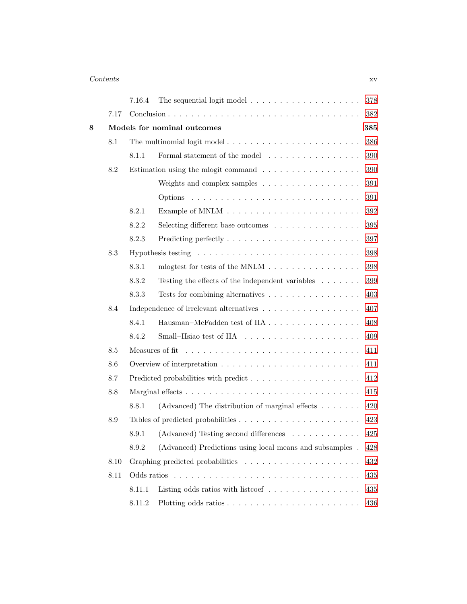# *Contents* xv

|   |      | 7.16.4 | The sequential logit model $\dots \dots \dots \dots \dots \dots$                       | 378 |
|---|------|--------|----------------------------------------------------------------------------------------|-----|
|   | 7.17 |        |                                                                                        | 382 |
| 8 |      |        | Models for nominal outcomes                                                            | 385 |
|   | 8.1  |        |                                                                                        | 386 |
|   |      | 8.1.1  | Formal statement of the model $\hfill\ldots\ldots\ldots\ldots\ldots\ldots\ldots\ldots$ | 390 |
|   | 8.2  |        | Estimation using the mlogit command $\ldots \ldots \ldots \ldots \ldots$               | 390 |
|   |      |        | Weights and complex samples                                                            | 391 |
|   |      |        |                                                                                        | 391 |
|   |      | 8.2.1  |                                                                                        | 392 |
|   |      | 8.2.2  | Selecting different base outcomes                                                      | 395 |
|   |      | 8.2.3  |                                                                                        | 397 |
|   | 8.3  |        | Hypothesis testing $\dots \dots \dots \dots \dots \dots \dots \dots \dots \dots \dots$ | 398 |
|   |      | 8.3.1  |                                                                                        | 398 |
|   |      | 8.3.2  | Testing the effects of the independent variables $\dots \dots$                         | 399 |
|   |      | 8.3.3  | Tests for combining alternatives $\dots \dots \dots \dots \dots \dots$                 | 403 |
|   | 8.4  |        | Independence of irrelevant alternatives                                                | 407 |
|   |      | 8.4.1  | Hausman-McFadden test of IIA                                                           | 408 |
|   |      | 8.4.2  |                                                                                        | 409 |
|   | 8.5  |        |                                                                                        | 411 |
|   | 8.6  |        |                                                                                        | 411 |
|   | 8.7  |        | Predicted probabilities with predict                                                   | 412 |
|   | 8.8  |        |                                                                                        | 415 |
|   |      | 8.8.1  | (Advanced) The distribution of marginal effects $\dots \dots$                          | 420 |
|   | 8.9  |        |                                                                                        | 423 |
|   |      | 8.9.1  | (Advanced) Testing second differences                                                  | 425 |
|   |      | 8.9.2  | (Advanced) Predictions using local means and subsamples.                               | 428 |
|   | 8.10 |        |                                                                                        | 432 |
|   | 8.11 |        |                                                                                        | 435 |
|   |      | 8.11.1 | Listing odds ratios with listcoef $\ldots \ldots \ldots \ldots \ldots$                 | 435 |
|   |      | 8.11.2 |                                                                                        | 436 |
|   |      |        |                                                                                        |     |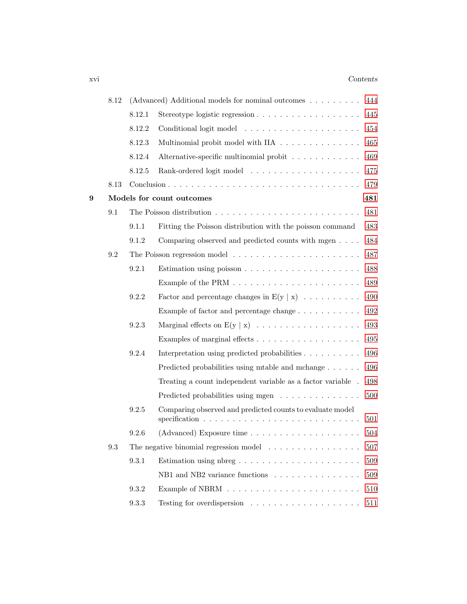## xvi *Contents*

|   | 8.12 |        | (Advanced) Additional models for nominal outcomes $\dots \dots$<br>444         |     |  |
|---|------|--------|--------------------------------------------------------------------------------|-----|--|
|   |      | 8.12.1 | Stereotype logistic regression                                                 | 445 |  |
|   |      | 8.12.2 |                                                                                | 454 |  |
|   |      | 8.12.3 | Multinomial probit model with IIA                                              | 465 |  |
|   |      | 8.12.4 | Alternative-specific multinomial probit                                        | 469 |  |
|   |      | 8.12.5 |                                                                                | 475 |  |
|   | 8.13 |        |                                                                                | 479 |  |
| 9 |      |        | Models for count outcomes                                                      | 481 |  |
|   | 9.1  |        |                                                                                | 481 |  |
|   |      | 9.1.1  | Fitting the Poisson distribution with the poisson command                      | 483 |  |
|   |      | 9.1.2  | Comparing observed and predicted counts with mgen                              | 484 |  |
|   | 9.2  |        | The Poisson regression model $\dots \dots \dots \dots \dots \dots \dots \dots$ | 487 |  |
|   |      | 9.2.1  | Estimation using poisson $\ldots \ldots \ldots \ldots \ldots \ldots \ldots$    | 488 |  |
|   |      |        |                                                                                | 489 |  |
|   |      | 9.2.2  | Factor and percentage changes in $E(y   x)$                                    | 490 |  |
|   |      |        | Example of factor and percentage change                                        | 492 |  |
|   |      | 9.2.3  |                                                                                | 493 |  |
|   |      |        |                                                                                | 495 |  |
|   |      | 9.2.4  | Interpretation using predicted probabilities                                   | 496 |  |
|   |      |        | Predicted probabilities using mtable and mchange                               | 496 |  |
|   |      |        | Treating a count independent variable as a factor variable.                    | 498 |  |
|   |      |        | Predicted probabilities using mgen                                             | 500 |  |
|   |      | 9.2.5  | Comparing observed and predicted counts to evaluate model                      | 501 |  |
|   |      | 9.2.6  | $(Advanced)$ Exposure time $\ldots \ldots \ldots \ldots \ldots \ldots$         | 504 |  |
|   | 9.3  |        | The negative binomial regression model $\ldots \ldots \ldots \ldots \ldots$    | 507 |  |
|   |      | 9.3.1  | Estimation using nbreg                                                         | 509 |  |
|   |      |        | NB1 and NB2 variance functions                                                 | 509 |  |
|   |      | 9.3.2  |                                                                                | 510 |  |
|   |      | 9.3.3  |                                                                                | 511 |  |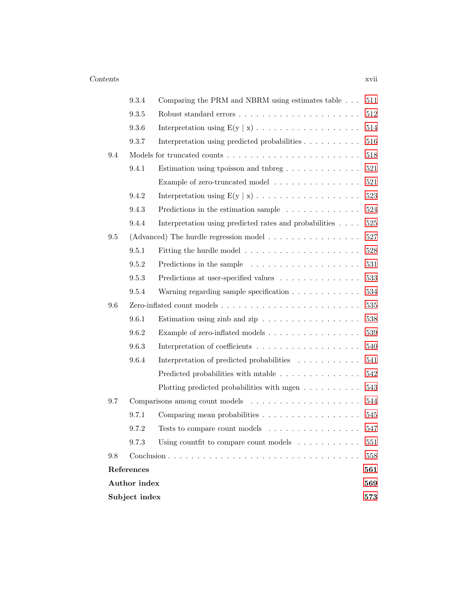|     | 9.3.4<br>Comparing the PRM and NBRM using estimates table<br>511 |                                                                             |         |  |  |  |  |
|-----|------------------------------------------------------------------|-----------------------------------------------------------------------------|---------|--|--|--|--|
|     | 9.3.5                                                            |                                                                             | 512     |  |  |  |  |
|     | 9.3.6                                                            |                                                                             | 514     |  |  |  |  |
|     | 9.3.7                                                            | Interpretation using predicted probabilities                                | 516     |  |  |  |  |
| 9.4 |                                                                  |                                                                             | 518     |  |  |  |  |
|     | 9.4.1                                                            |                                                                             | 521     |  |  |  |  |
|     |                                                                  | Example of zero-truncated model                                             | $521\,$ |  |  |  |  |
|     | 9.4.2                                                            |                                                                             | 523     |  |  |  |  |
|     | 9.4.3                                                            | Predictions in the estimation sample $\ldots \ldots \ldots \ldots$          | 524     |  |  |  |  |
|     | 9.4.4                                                            | Interpretation using predicted rates and probabilities                      | $525\,$ |  |  |  |  |
| 9.5 |                                                                  | (Advanced) The hurdle regression model $\ldots \ldots \ldots \ldots \ldots$ | 527     |  |  |  |  |
|     | 9.5.1                                                            |                                                                             | 528     |  |  |  |  |
|     | 9.5.2                                                            | Predictions in the sample $\ldots \ldots \ldots \ldots \ldots \ldots$       | 531     |  |  |  |  |
|     | 9.5.3                                                            | Predictions at user-specified values                                        | 533     |  |  |  |  |
|     | 9.5.4                                                            | Warning regarding sample specification                                      | 534     |  |  |  |  |
| 9.6 |                                                                  |                                                                             | 535     |  |  |  |  |
|     | 9.6.1                                                            | Estimation using zinb and zip $\ldots \ldots \ldots \ldots \ldots$          | 538     |  |  |  |  |
|     | 9.6.2                                                            | Example of zero-inflated models                                             | 539     |  |  |  |  |
|     | 9.6.3                                                            |                                                                             | 540     |  |  |  |  |
|     | 9.6.4                                                            | Interpretation of predicted probabilities                                   | 541     |  |  |  |  |
|     |                                                                  | Predicted probabilities with mtable                                         | 542     |  |  |  |  |
|     |                                                                  | Plotting predicted probabilities with mgen $\dots \dots \dots$              | 543     |  |  |  |  |
| 9.7 |                                                                  | Comparisons among count models $\dots \dots \dots \dots \dots \dots \dots$  | 544     |  |  |  |  |
|     | 9.7.1                                                            | Comparing mean probabilities                                                | 545     |  |  |  |  |
|     | 9.7.2                                                            | Tests to compare count models $\dots \dots \dots \dots \dots$               | 547     |  |  |  |  |
|     | 9.7.3                                                            | Using count fit to compare count models $\ldots \ldots \ldots$              | 551     |  |  |  |  |
| 9.8 |                                                                  |                                                                             | 558     |  |  |  |  |
|     | References                                                       |                                                                             | 561     |  |  |  |  |
|     | <b>Author</b> index                                              |                                                                             | 569     |  |  |  |  |
|     | Subject index                                                    |                                                                             | 573     |  |  |  |  |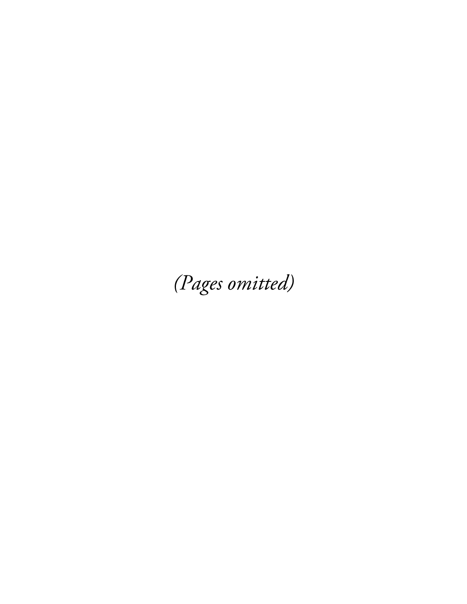(Pages omitted)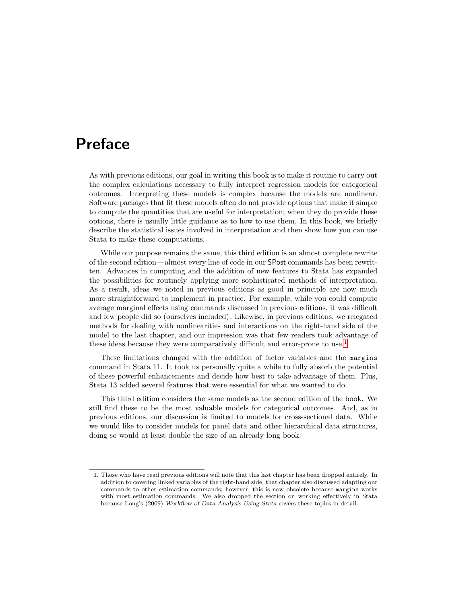# Preface

As with previous editions, our goal in writing this book is to make it routine to carry out the complex calculations necessary to fully interpret regression models for categorical outcomes. Interpreting these models is complex because the models are nonlinear. Software packages that fit these models often do not provide options that make it simple to compute the quantities that are useful for interpretation; when they do provide these options, there is usually little guidance as to how to use them. In this book, we briefly describe the statistical issues involved in interpretation and then show how you can use Stata to make these computations.

While our purpose remains the same, this third edition is an almost complete rewrite of the second edition—almost every line of code in our SPost commands has been rewritten. Advances in computing and the addition of new features to Stata has expanded the possibilities for routinely applying more sophisticated methods of interpretation. As a result, ideas we noted in previous editions as good in principle are now much more straightforward to implement in practice. For example, while you could compute average marginal effects using commands discussed in previous editions, it was difficult and few people did so (ourselves included). Likewise, in previous editions, we relegated methods for dealing with nonlinearities and interactions on the right-hand side of the model to the last chapter, and our impression was that few readers took advantage of these ideas because they were comparatively difficult and error-prone to use.<sup>1</sup>

These limitations changed with the addition of factor variables and the margins command in Stata 11. It took us personally quite a while to fully absorb the potential of these powerful enhancements and decide how best to take advantage of them. Plus, Stata 13 added several features that were essential for what we wanted to do.

This third edition considers the same models as the second edition of the book. We still find these to be the most valuable models for categorical outcomes. And, as in previous editions, our discussion is limited to models for cross-sectional data. While we would like to consider models for panel data and other hierarchical data structures, doing so would at least double the size of an already long book.

<sup>1.</sup> Those who have read previous editions will note that this last chapter has been dropped entirely. In addition to covering linked variables of the right-hand side, that chapter also discussed adapting our commands to other estimation commands; however, this is now obsolete because margins works with most estimation commands. We also dropped the section on working effectively in Stata because Long's (2009) Workflow of Data Analysis Using Stata covers these topics in detail.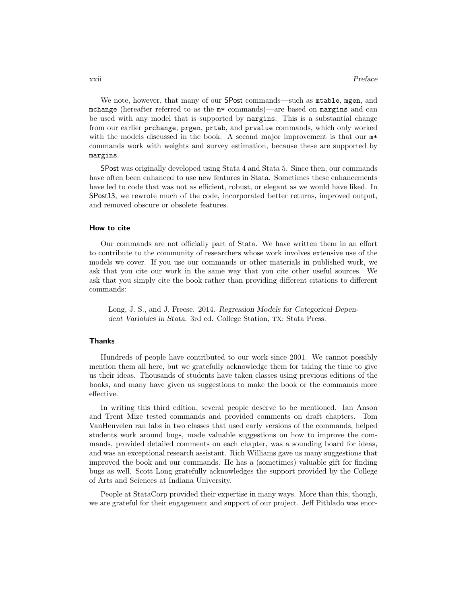We note, however, that many of our SPost commands—such as  $m$  table, mgen, and mchange (hereafter referred to as the m\* commands)—are based on margins and can be used with any model that is supported by margins. This is a substantial change from our earlier prchange, prgen, prtab, and prvalue commands, which only worked with the models discussed in the book. A second major improvement is that our  $m^*$ commands work with weights and survey estimation, because these are supported by margins.

SPost was originally developed using Stata 4 and Stata 5. Since then, our commands have often been enhanced to use new features in Stata. Sometimes these enhancements have led to code that was not as efficient, robust, or elegant as we would have liked. In SPost13, we rewrote much of the code, incorporated better returns, improved output, and removed obscure or obsolete features.

#### How to cite

Our commands are not officially part of Stata. We have written them in an effort to contribute to the community of researchers whose work involves extensive use of the models we cover. If you use our commands or other materials in published work, we ask that you cite our work in the same way that you cite other useful sources. We ask that you simply cite the book rather than providing different citations to different commands:

Long, J. S., and J. Freese. 2014. *Regression Models for Categorical Dependent Variables in Stata*. 3rd ed. College Station, TX: Stata Press.

### **Thanks**

Hundreds of people have contributed to our work since 2001. We cannot possibly mention them all here, but we gratefully acknowledge them for taking the time to give us their ideas. Thousands of students have taken classes using previous editions of the books, and many have given us suggestions to make the book or the commands more effective.

In writing this third edition, several people deserve to be mentioned. Ian Anson and Trent Mize tested commands and provided comments on draft chapters. Tom VanHeuvelen ran labs in two classes that used early versions of the commands, helped students work around bugs, made valuable suggestions on how to improve the commands, provided detailed comments on each chapter, was a sounding board for ideas, and was an exceptional research assistant. Rich Williams gave us many suggestions that improved the book and our commands. He has a (sometimes) valuable gift for finding bugs as well. Scott Long gratefully acknowledges the support provided by the College of Arts and Sciences at Indiana University.

People at StataCorp provided their expertise in many ways. More than this, though, we are grateful for their engagement and support of our project. Jeff Pitblado was enor-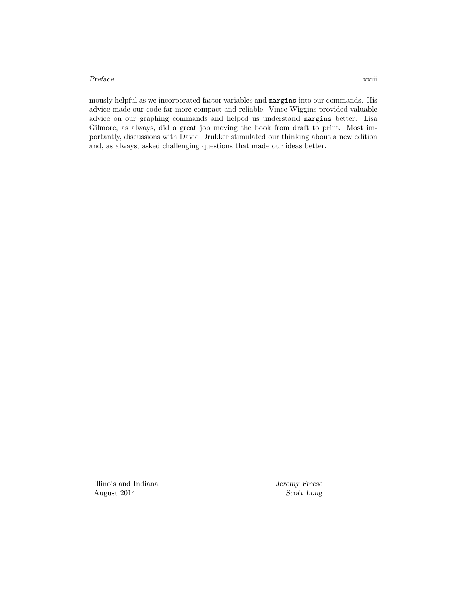#### *Preface* xxiii

mously helpful as we incorporated factor variables and margins into our commands. His advice made our code far more compact and reliable. Vince Wiggins provided valuable advice on our graphing commands and helped us understand margins better. Lisa Gilmore, as always, did a great job moving the book from draft to print. Most importantly, discussions with David Drukker stimulated our thinking about a new edition and, as always, asked challenging questions that made our ideas better.

Illinois and Indiana *Jeremy Freese* August 2014 *Scott Long*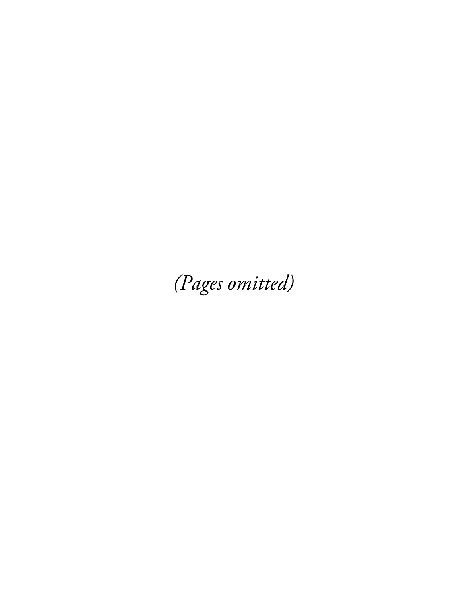(Pages omitted)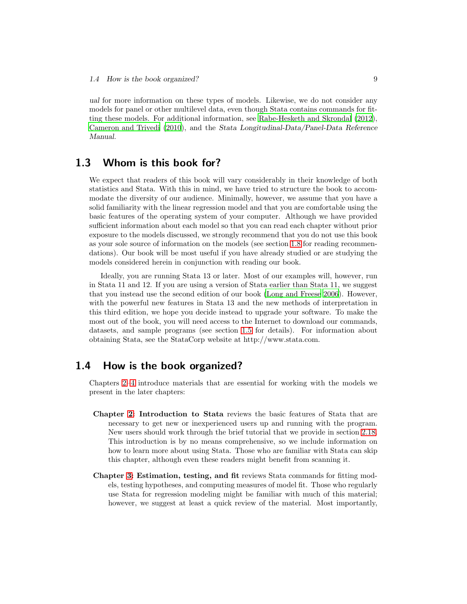*ual* for more information on these types of models. Likewise, we do not consider any models for panel or other multilevel data, even though Stata contains commands for fitting these models. For additional information, see Rabe-Hesketh and Skrondal (2012), Cameron and Trivedi (2010), and the *Stata Longitudinal-Data/Panel-Data Reference Manual*.

# 1.3 Whom is this book for?

We expect that readers of this book will vary considerably in their knowledge of both statistics and Stata. With this in mind, we have tried to structure the book to accommodate the diversity of our audience. Minimally, however, we assume that you have a solid familiarity with the linear regression model and that you are comfortable using the basic features of the operating system of your computer. Although we have provided sufficient information about each model so that you can read each chapter without prior exposure to the models discussed, we strongly recommend that you do not use this book as your sole source of information on the models (see section 1.8 for reading recommendations). Our book will be most useful if you have already studied or are studying the models considered herein in conjunction with reading our book.

Ideally, you are running Stata 13 or later. Most of our examples will, however, run in Stata 11 and 12. If you are using a version of Stata earlier than Stata 11, we suggest that you instead use the second edition of our book (Long and Freese 2006). However, with the powerful new features in Stata 13 and the new methods of interpretation in this third edition, we hope you decide instead to upgrade your software. To make the most out of the book, you will need access to the Internet to download our commands, datasets, and sample programs (see section 1.5 for details). For information about obtaining Stata, see the StataCorp website at http://www.stata.com.

## 1.4 How is the book organized?

Chapters 2–4 introduce materials that are essential for working with the models we present in the later chapters:

- Chapter 2: Introduction to Stata reviews the basic features of Stata that are necessary to get new or inexperienced users up and running with the program. New users should work through the brief tutorial that we provide in section 2.18. This introduction is by no means comprehensive, so we include information on how to learn more about using Stata. Those who are familiar with Stata can skip this chapter, although even these readers might benefit from scanning it.
- Chapter 3: Estimation, testing, and fit reviews Stata commands for fitting models, testing hypotheses, and computing measures of model fit. Those who regularly use Stata for regression modeling might be familiar with much of this material; however, we suggest at least a quick review of the material. Most importantly,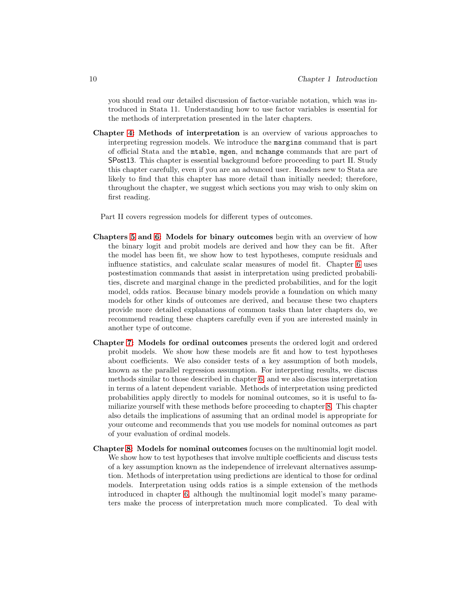you should read our detailed discussion of factor-variable notation, which was introduced in Stata 11. Understanding how to use factor variables is essential for the methods of interpretation presented in the later chapters.

Chapter 4: Methods of interpretation is an overview of various approaches to interpreting regression models. We introduce the margins command that is part of official Stata and the mtable, mgen, and mchange commands that are part of SPost13. This chapter is essential background before proceeding to part II. Study this chapter carefully, even if you are an advanced user. Readers new to Stata are likely to find that this chapter has more detail than initially needed; therefore, throughout the chapter, we suggest which sections you may wish to only skim on first reading.

Part II covers regression models for different types of outcomes.

- Chapters 5 and 6: Models for binary outcomes begin with an overview of how the binary logit and probit models are derived and how they can be fit. After the model has been fit, we show how to test hypotheses, compute residuals and influence statistics, and calculate scalar measures of model fit. Chapter 6 uses postestimation commands that assist in interpretation using predicted probabilities, discrete and marginal change in the predicted probabilities, and for the logit model, odds ratios. Because binary models provide a foundation on which many models for other kinds of outcomes are derived, and because these two chapters provide more detailed explanations of common tasks than later chapters do, we recommend reading these chapters carefully even if you are interested mainly in another type of outcome.
- Chapter 7: Models for ordinal outcomes presents the ordered logit and ordered probit models. We show how these models are fit and how to test hypotheses about coefficients. We also consider tests of a key assumption of both models, known as the parallel regression assumption. For interpreting results, we discuss methods similar to those described in chapter 6, and we also discuss interpretation in terms of a latent dependent variable. Methods of interpretation using predicted probabilities apply directly to models for nominal outcomes, so it is useful to familiarize yourself with these methods before proceeding to chapter 8. This chapter also details the implications of assuming that an ordinal model is appropriate for your outcome and recommends that you use models for nominal outcomes as part of your evaluation of ordinal models.
- Chapter 8: Models for nominal outcomes focuses on the multinomial logit model. We show how to test hypotheses that involve multiple coefficients and discuss tests of a key assumption known as the independence of irrelevant alternatives assumption. Methods of interpretation using predictions are identical to those for ordinal models. Interpretation using odds ratios is a simple extension of the methods introduced in chapter 6, although the multinomial logit model's many parameters make the process of interpretation much more complicated. To deal with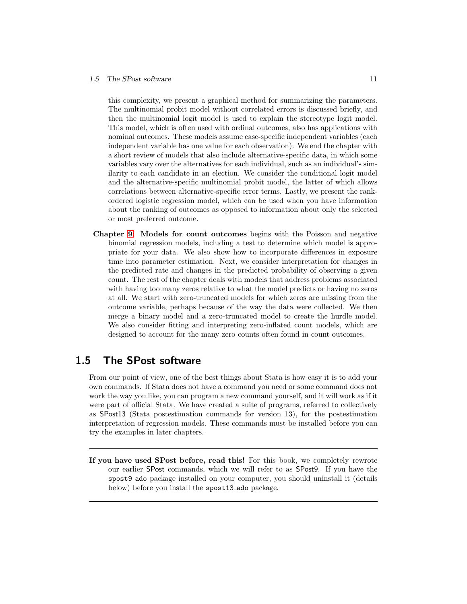#### *1.5 The SPost software* 11

this complexity, we present a graphical method for summarizing the parameters. The multinomial probit model without correlated errors is discussed briefly, and then the multinomial logit model is used to explain the stereotype logit model. This model, which is often used with ordinal outcomes, also has applications with nominal outcomes. These models assume case-specific independent variables (each independent variable has one value for each observation). We end the chapter with a short review of models that also include alternative-specific data, in which some variables vary over the alternatives for each individual, such as an individual's similarity to each candidate in an election. We consider the conditional logit model and the alternative-specific multinomial probit model, the latter of which allows correlations between alternative-specific error terms. Lastly, we present the rankordered logistic regression model, which can be used when you have information about the ranking of outcomes as opposed to information about only the selected or most preferred outcome.

Chapter 9: Models for count outcomes begins with the Poisson and negative binomial regression models, including a test to determine which model is appropriate for your data. We also show how to incorporate differences in exposure time into parameter estimation. Next, we consider interpretation for changes in the predicted rate and changes in the predicted probability of observing a given count. The rest of the chapter deals with models that address problems associated with having too many zeros relative to what the model predicts or having no zeros at all. We start with zero-truncated models for which zeros are missing from the outcome variable, perhaps because of the way the data were collected. We then merge a binary model and a zero-truncated model to create the hurdle model. We also consider fitting and interpreting zero-inflated count models, which are designed to account for the many zero counts often found in count outcomes.

# 1.5 The SPost software

From our point of view, one of the best things about Stata is how easy it is to add your own commands. If Stata does not have a command you need or some command does not work the way you like, you can program a new command yourself, and it will work as if it were part of official Stata. We have created a suite of programs, referred to collectively as SPost13 (Stata postestimation commands for version 13), for the postestimation interpretation of regression models. These commands must be installed before you can try the examples in later chapters.

If you have used SPost before, read this! For this book, we completely rewrote our earlier SPost commands, which we will refer to as SPost9. If you have the spost9 ado package installed on your computer, you should uninstall it (details below) before you install the spost13 ado package.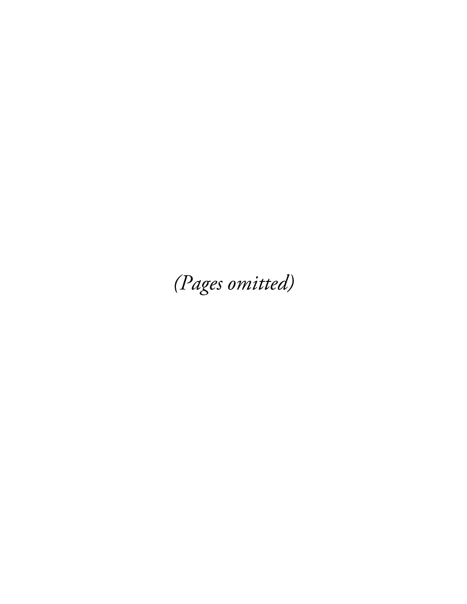(Pages omitted)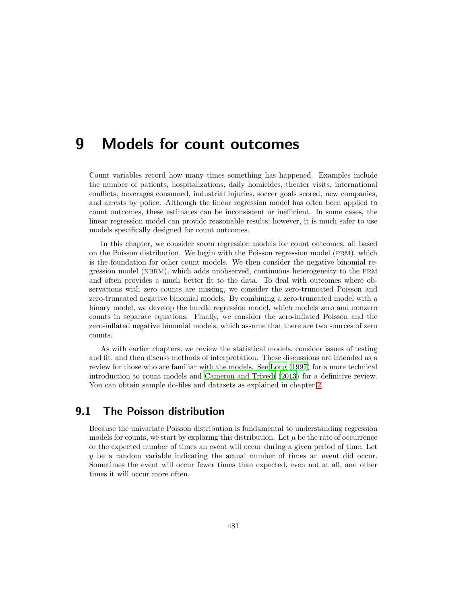# 9 Models for count outcomes

Count variables record how many times something has happened. Examples include the number of patients, hospitalizations, daily homicides, theater visits, international conflicts, beverages consumed, industrial injuries, soccer goals scored, new companies, and arrests by police. Although the linear regression model has often been applied to count outcomes, these estimates can be inconsistent or inefficient. In some cases, the linear regression model can provide reasonable results; however, it is much safer to use models specifically designed for count outcomes.

In this chapter, we consider seven regression models for count outcomes, all based on the Poisson distribution. We begin with the Poisson regression model (PRM), which is the foundation for other count models. We then consider the negative binomial regression model (NBRM), which adds unobserved, continuous heterogeneity to the PRM and often provides a much better fit to the data. To deal with outcomes where observations with zero counts are missing, we consider the zero-truncated Poisson and zero-truncated negative binomial models. By combining a zero-truncated model with a binary model, we develop the hurdle regression model, which models zero and nonzero counts in separate equations. Finally, we consider the zero-inflated Poisson and the zero-inflated negative binomial models, which assume that there are two sources of zero counts.

As with earlier chapters, we review the statistical models, consider issues of testing and fit, and then discuss methods of interpretation. These discussions are intended as a review for those who are familiar with the models. See Long (1997) for a more technical introduction to count models and Cameron and Trivedi (2013) for a definitive review. You can obtain sample do-files and datasets as explained in chapter 2.

# 9.1 The Poisson distribution

Because the univariate Poisson distribution is fundamental to understanding regression models for counts, we start by exploring this distribution. Let  $\mu$  be the rate of occurrence or the expected number of times an event will occur during a given period of time. Let y be a random variable indicating the actual number of times an event did occur. Sometimes the event will occur fewer times than expected, even not at all, and other times it will occur more often.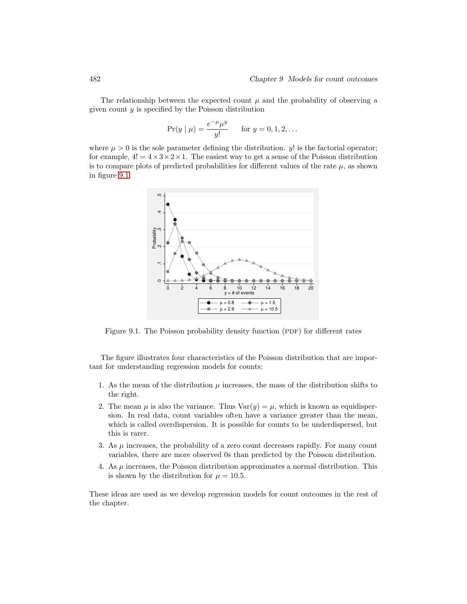The relationship between the expected count  $\mu$  and the probability of observing a given count  $y$  is specified by the Poisson distribution

$$
Pr(y | \mu) = \frac{e^{-\mu} \mu^y}{y!} \quad \text{for } y = 0, 1, 2, ...
$$

where  $\mu > 0$  is the sole parameter defining the distribution. y! is the factorial operator; for example,  $4! = 4 \times 3 \times 2 \times 1$ . The easiest way to get a sense of the Poisson distribution is to compare plots of predicted probabilities for different values of the rate  $\mu$ , as shown in figure 9.1.



Figure 9.1. The Poisson probability density function (PDF) for different rates

The figure illustrates four characteristics of the Poisson distribution that are important for understanding regression models for counts:

- 1. As the mean of the distribution  $\mu$  increases, the mass of the distribution shifts to the right.
- 2. The mean  $\mu$  is also the variance. Thus  $Var(y) = \mu$ , which is known as equidispersion. In real data, count variables often have a variance greater than the mean, which is called overdispersion. It is possible for counts to be underdispersed, but this is rarer.
- 3. As  $\mu$  increases, the probability of a zero count decreases rapidly. For many count variables, there are more observed 0s than predicted by the Poisson distribution.
- 4. As  $\mu$  increases, the Poisson distribution approximates a normal distribution. This is shown by the distribution for  $\mu = 10.5$ .

These ideas are used as we develop regression models for count outcomes in the rest of the chapter.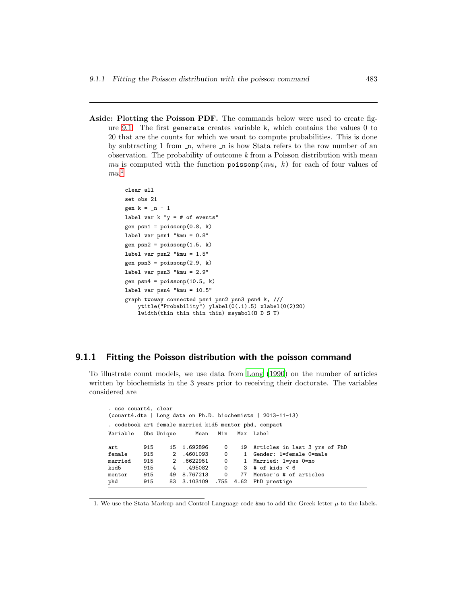Aside: Plotting the Poisson PDF. The commands below were used to create figure 9.1. The first generate creates variable k, which contains the values 0 to 20 that are the counts for which we want to compute probabilities. This is done by subtracting 1 from  $\pi$ , where  $\pi$  is how Stata refers to the row number of an observation. The probability of outcome  $k$  from a Poisson distribution with mean mu is computed with the function poisson  $(mu, k)$  for each of four values of  $mu<sup>1</sup>$ 

```
clear all
set obs 21
gen k = n - 1label var k "y = # of events"
gen psn1 = poissonp(0.8, k)label var psn1 "&mu = 0.8"
gen psn2 = poissonp(1.5, k)label var psn2 "&mu = 1.5"
gen psn3 = poissonp(2.9, k)label var psn3 "&mu = 2.9"
gen psn4 = poissonp(10.5, k)label var psn4 "&mu = 10.5"
graph twoway connected psn1 psn2 psn3 psn4 k, ///
   ytitle("Probability") ylabel(0(.1).5) xlabel(0(2)20)
   lwidth(thin thin thin thin) msymbol(O D S T)
```
## 9.1.1 Fitting the Poisson distribution with the poisson command

To illustrate count models, we use data from Long (1990) on the number of articles written by biochemists in the 3 years prior to receiving their doctorate. The variables considered are

| . use couart4, clear<br>(couart4.dta   Long data on Ph.D. biochemists   2013-11-13) |     |            |             |   |  |                                             |
|-------------------------------------------------------------------------------------|-----|------------|-------------|---|--|---------------------------------------------|
| . codebook art female married kid5 mentor phd, compact                              |     |            |             |   |  |                                             |
| Variable                                                                            |     | Obs Unique |             |   |  | Mean Min Max Label                          |
| art                                                                                 | 915 |            | 15 1.692896 | 0 |  | 19 Articles in last 3 yrs of PhD            |
| female 915                                                                          |     |            | 2.4601093   |   |  | 0 1 Gender: 1=female 0=male                 |
| married                                                                             | 915 |            | 2.6622951   |   |  | 0 1 Married: 1=yes 0=no                     |
| kid5                                                                                | 915 | 4          | .495082     |   |  | $0 \t 3 # of kids < 6$                      |
| mentor                                                                              |     |            |             |   |  | 915 49 8.767213 0 77 Mentor's # of articles |
| phd                                                                                 | 915 |            |             |   |  | 83 3.103109 .755 4.62 PhD prestige          |

1. We use the Stata Markup and Control Language code  $kmu$  to add the Greek letter  $\mu$  to the labels.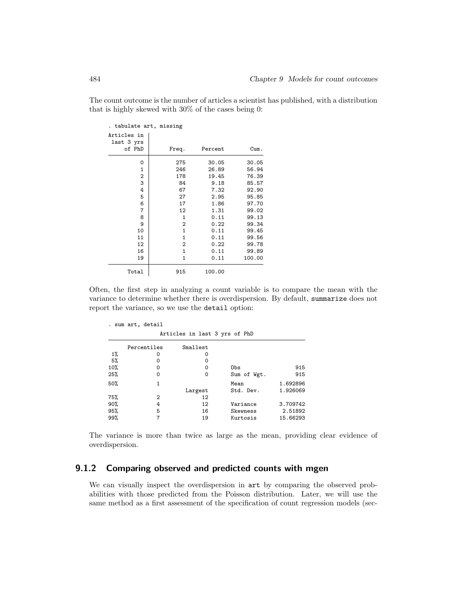The count outcome is the number of articles a scientist has published, with a distribution that is highly skewed with 30% of the cases being 0:

| . tabulate art, missing   |              |         |        |
|---------------------------|--------------|---------|--------|
| Articles in<br>last 3 yrs |              |         |        |
| of PhD                    | Freq.        | Percent | Cum.   |
| 0                         | 275          | 30.05   | 30.05  |
| 1                         | 246          | 26.89   | 56.94  |
| $\overline{2}$            | 178          | 19.45   | 76.39  |
| 3                         | 84           | 9.18    | 85.57  |
| 4                         | 67           | 7.32    | 92.90  |
| 5                         | 27           | 2.95    | 95.85  |
| 6                         | 17           | 1.86    | 97.70  |
| 7                         | 12           | 1.31    | 99.02  |
| 8                         | 1            | 0.11    | 99.13  |
| 9                         | 2            | 0.22    | 99.34  |
| 10                        | $\mathbf{1}$ | 0.11    | 99.45  |
| 11                        | $\mathbf{1}$ | 0.11    | 99.56  |
| 12                        | 2            | 0.22    | 99.78  |
| 16                        | $\mathbf{1}$ | 0.11    | 99.89  |
| 19                        | $\mathbf{1}$ | 0.11    | 100.00 |
| Total                     | 915          | 100.00  |        |

Often, the first step in analyzing a count variable is to compare the mean with the variance to determine whether there is overdispersion. By default, summarize does not report the variance, so we use the detail option:

| Percentiles | Smallest          |             |                               |
|-------------|-------------------|-------------|-------------------------------|
| 0           | 0                 |             |                               |
| 0           | 0                 |             |                               |
| $\Omega$    | 0                 | Obs         | 915                           |
| 0           | 0                 | Sum of Wgt. | 915                           |
| 1           |                   | Mean        | 1.692896                      |
|             | Largest           | Std. Dev.   | 1.926069                      |
| 2           | 12                |             |                               |
| 4           | 12                | Variance    | 3.709742                      |
| 5           | 16                | Skewness    | 2.51892                       |
|             | 19                | Kurtosis    | 15.66293                      |
|             | . sum art, detail |             | Articles in last 3 yrs of PhD |

The variance is more than twice as large as the mean, providing clear evidence of overdispersion.

## 9.1.2 Comparing observed and predicted counts with mgen

We can visually inspect the overdispersion in art by comparing the observed probabilities with those predicted from the Poisson distribution. Later, we will use the same method as a first assessment of the specification of count regression models (sec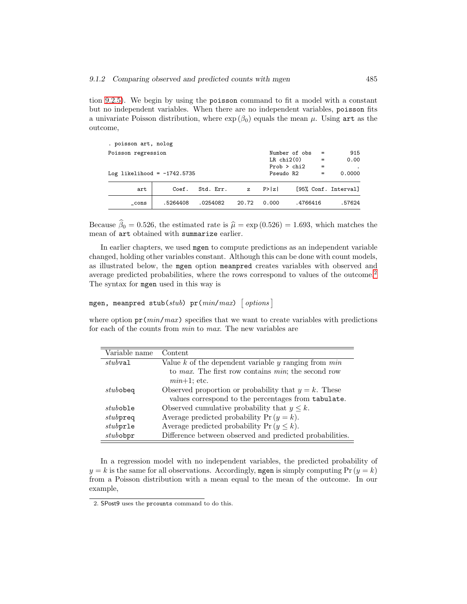tion 9.2.5). We begin by using the poisson command to fit a model with a constant but no independent variables. When there are no independent variables, poisson fits a univariate Poisson distribution, where  $\exp(\beta_0)$  equals the mean  $\mu$ . Using art as the outcome,

| . poisson art, nolog          |          |           |                        |           |               |     |                      |
|-------------------------------|----------|-----------|------------------------|-----------|---------------|-----|----------------------|
| Poisson regression            |          |           |                        |           | Number of obs | $=$ | 915                  |
|                               |          |           | $LR$ chi $2(0)$<br>$=$ |           | 0.00          |     |                      |
|                               |          |           |                        |           | Prob > chi2   | $=$ | $\cdot$              |
| Log likelihood = $-1742.5735$ |          |           |                        | Pseudo R2 |               | $=$ | 0.0000               |
| art                           | Coef.    | Std. Err. | $\mathbf{z}$           | P >  z    |               |     | [95% Conf. Interval] |
| cons                          | .5264408 | .0254082  | 20.72                  | 0.000     | .4766416      |     | .57624               |

Because  $\beta_0 = 0.526$ , the estimated rate is  $\hat{\mu} = \exp (0.526) = 1.693$ , which matches the mean of art obtained with summarize earlier.

In earlier chapters, we used mgen to compute predictions as an independent variable changed, holding other variables constant. Although this can be done with count models, as illustrated below, the mgen option meanpred creates variables with observed and average predicted probabilities, where the rows correspond to values of the outcome.<sup>2</sup> The syntax for mgen used in this way is

## mgen, meanpred stub(stub) pr( $min/max$ ) [options]

where option  $pr(min/max)$  specifies that we want to create variables with predictions for each of the counts from min to max. The new variables are

| Variable name  | Content                                                    |
|----------------|------------------------------------------------------------|
| $stub$ val     | Value $k$ of the dependent variable $y$ ranging from $min$ |
|                | to max. The first row contains min; the second row         |
|                | $min+1$ ; etc.                                             |
| $_{stub$ obeq  | Observed proportion or probability that $y = k$ . These    |
|                | values correspond to the percentages from tabulate.        |
| $stub$ oble    | Observed cumulative probability that $y \leq k$ .          |
| $_{stub}$ preq | Average predicted probability $Pr(y = k)$ .                |
| $_{stable}$    | Average predicted probability $Pr(y \le k)$ .              |
| $_{study$ obpr | Difference between observed and predicted probabilities.   |

In a regression model with no independent variables, the predicted probability of  $y = k$  is the same for all observations. Accordingly, mgen is simply computing Pr  $(y = k)$ from a Poisson distribution with a mean equal to the mean of the outcome. In our example,

<sup>2.</sup> SPost9 uses the prcounts command to do this.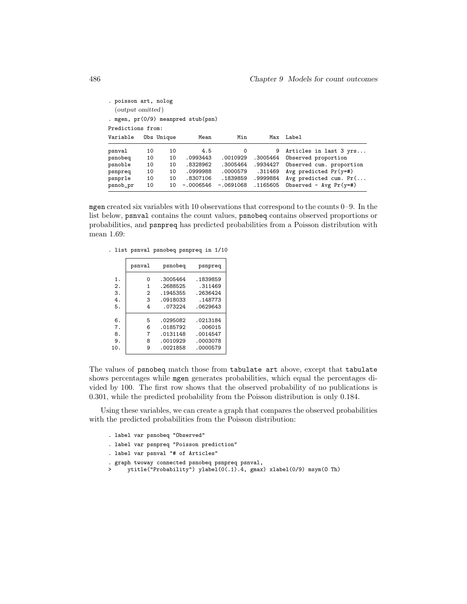| . poisson art, nolog                 |    |            |             |             |          |                          |  |  |  |
|--------------------------------------|----|------------|-------------|-------------|----------|--------------------------|--|--|--|
| ( <i>output omitted</i> )            |    |            |             |             |          |                          |  |  |  |
| . mgen, $pr(0/9)$ meanpred stub(psn) |    |            |             |             |          |                          |  |  |  |
| Predictions from:                    |    |            |             |             |          |                          |  |  |  |
| Variable                             |    | Obs Unique | Mean        | Min         | Max      | Label                    |  |  |  |
| psnval                               | 10 | 10         | 4.5         | $\Omega$    | 9        | Articles in last 3 yrs   |  |  |  |
| psnobeq                              | 10 | 10         | .0993443    | .0010929    | .3005464 | Observed proportion      |  |  |  |
| psnoble                              | 10 | 10         | .8328962    | .3005464    | .9934427 | Observed cum. proportion |  |  |  |
| psnpreq                              | 10 | 10         | .0999988    | .0000579    | .311469  | Avg predicted $Pr(y=#)$  |  |  |  |
| psnprle                              | 10 | 10         | .8307106    | .1839859    | .9999884 | Avg predicted cum. $Pr($ |  |  |  |
| psnob_pr                             | 10 | 10         | $-.0006546$ | $-.0691068$ | .1165605 | Observed - $Avg Pr(y=#)$ |  |  |  |
|                                      |    |            |             |             |          |                          |  |  |  |

mgen created six variables with 10 observations that correspond to the counts 0–9. In the list below, psnval contains the count values, psnobeq contains observed proportions or probabilities, and psnpreq has predicted probabilities from a Poisson distribution with mean 1.69:

|     | psnval | psnobeg  | psnpreq  |
|-----|--------|----------|----------|
| 1.  | Ω      | .3005464 | .1839859 |
| 2.  | 1      | .2688525 | .311469  |
| 3.  | 2      | .1945355 | .2636424 |
| 4.  | 3      | .0918033 | .148773  |
| 5.  | 4      | .073224  | .0629643 |
| 6.  | 5      | .0295082 | .0213184 |
| 7.  | 6      | .0185792 | .006015  |
| 8.  | 7      | .0131148 | .0014547 |
| 9.  | 8      | .0010929 | .0003078 |
| 10. | 9      | .0021858 | .0000579 |
|     |        |          |          |

|  |  |  |  | . list psnval psnobeq psnpreq in 1/10 |  |  |
|--|--|--|--|---------------------------------------|--|--|
|--|--|--|--|---------------------------------------|--|--|

The values of psnobeq match those from tabulate art above, except that tabulate shows percentages while mgen generates probabilities, which equal the percentages divided by 100. The first row shows that the observed probability of no publications is 0.301, while the predicted probability from the Poisson distribution is only 0.184.

Using these variables, we can create a graph that compares the observed probabilities with the predicted probabilities from the Poisson distribution:

```
. label var psnobeq "Observed"
. label var psnpreq "Poisson prediction"
. label var psnval "# of Articles"
. graph twoway connected psnobeq psnpreq psnval,<br>> \frac{1}{2} vtitle("Probability") vlabel(0(.1).4. gmax
       > ytitle("Probability") ylabel(0(.1).4, gmax) xlabel(0/9) msym(O Th)
```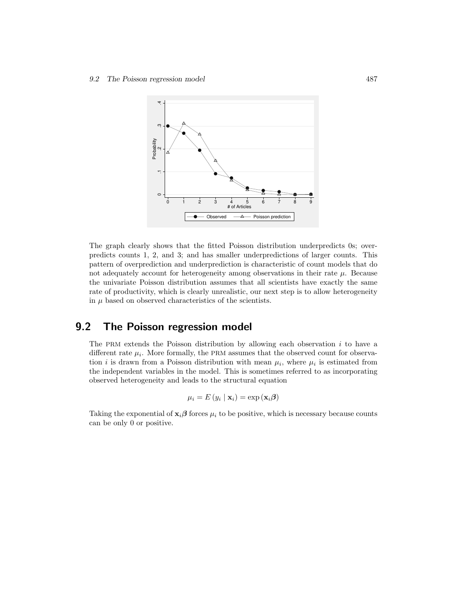

The graph clearly shows that the fitted Poisson distribution underpredicts 0s; overpredicts counts 1, 2, and 3; and has smaller underpredictions of larger counts. This pattern of overprediction and underprediction is characteristic of count models that do not adequately account for heterogeneity among observations in their rate  $\mu$ . Because the univariate Poisson distribution assumes that all scientists have exactly the same rate of productivity, which is clearly unrealistic, our next step is to allow heterogeneity in  $\mu$  based on observed characteristics of the scientists.

# 9.2 The Poisson regression model

The PRM extends the Poisson distribution by allowing each observation  $i$  to have a different rate  $\mu_i$ . More formally, the PRM assumes that the observed count for observation *i* is drawn from a Poisson distribution with mean  $\mu_i$ , where  $\mu_i$  is estimated from the independent variables in the model. This is sometimes referred to as incorporating observed heterogeneity and leads to the structural equation

$$
\mu_i = E(y_i \mid \mathbf{x}_i) = \exp(\mathbf{x}_i \boldsymbol{\beta})
$$

Taking the exponential of  $\mathbf{x}_i \boldsymbol{\beta}$  forces  $\mu_i$  to be positive, which is necessary because counts can be only 0 or positive.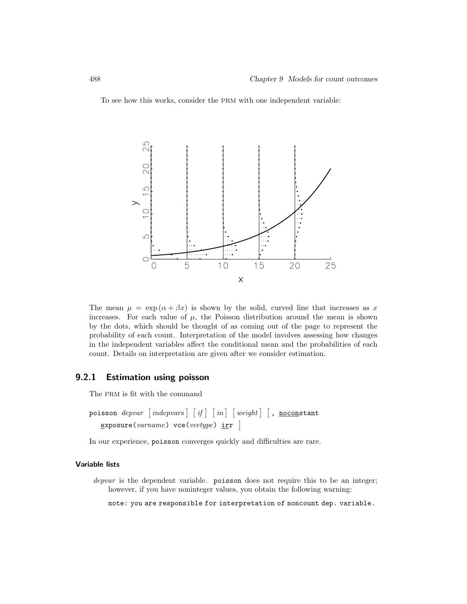To see how this works, consider the PRM with one independent variable:



The mean  $\mu = \exp(\alpha + \beta x)$  is shown by the solid, curved line that increases as x increases. For each value of  $\mu$ , the Poisson distribution around the mean is shown by the dots, which should be thought of as coming out of the page to represent the probability of each count. Interpretation of the model involves assessing how changes in the independent variables affect the conditional mean and the probabilities of each count. Details on interpretation are given after we consider estimation.

## 9.2.1 Estimation using poisson

The PRM is fit with the command

```
\texttt{poisson} \textit{depvar} \left \lceil \textit{inq} \right \rceil \left \lceil \textit{in} \right \rceil \left \lceil \textit{weight} \right \rceil \left \lceil \textit{, noconstant} \right \rceil\texttt{exposure}(varname) vce(vcetype) \texttt{irr} ]
```
In our experience, poisson converges quickly and difficulties are rare.

### Variable lists

depvar is the dependent variable. poisson does not require this to be an integer; however, if you have noninteger values, you obtain the following warning:

note: you are responsible for interpretation of noncount dep. variable.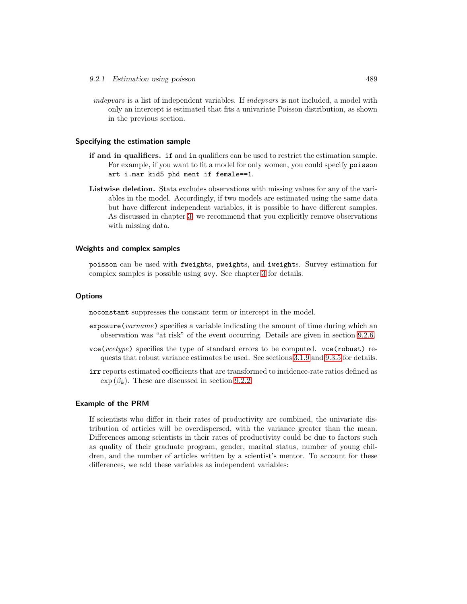indepvars is a list of independent variables. If indepvars is not included, a model with only an intercept is estimated that fits a univariate Poisson distribution, as shown in the previous section.

### Specifying the estimation sample

- if and in qualifiers. if and in qualifiers can be used to restrict the estimation sample. For example, if you want to fit a model for only women, you could specify poisson art i.mar kid5 phd ment if female==1.
- Listwise deletion. Stata excludes observations with missing values for any of the variables in the model. Accordingly, if two models are estimated using the same data but have different independent variables, it is possible to have different samples. As discussed in chapter 3, we recommend that you explicitly remove observations with missing data.

### Weights and complex samples

poisson can be used with fweights, pweights, and iweights. Survey estimation for complex samples is possible using svy. See chapter 3 for details.

### **Options**

noconstant suppresses the constant term or intercept in the model.

- exposure(varname) specifies a variable indicating the amount of time during which an observation was "at risk" of the event occurring. Details are given in section 9.2.6.
- vce(vcetype) specifies the type of standard errors to be computed. vce(robust) requests that robust variance estimates be used. See sections 3.1.9 and 9.3.5 for details.
- irr reports estimated coefficients that are transformed to incidence-rate ratios defined as  $\exp{(\beta_k)}$ . These are discussed in section 9.2.2.

#### Example of the PRM

If scientists who differ in their rates of productivity are combined, the univariate distribution of articles will be overdispersed, with the variance greater than the mean. Differences among scientists in their rates of productivity could be due to factors such as quality of their graduate program, gender, marital status, number of young children, and the number of articles written by a scientist's mentor. To account for these differences, we add these variables as independent variables: